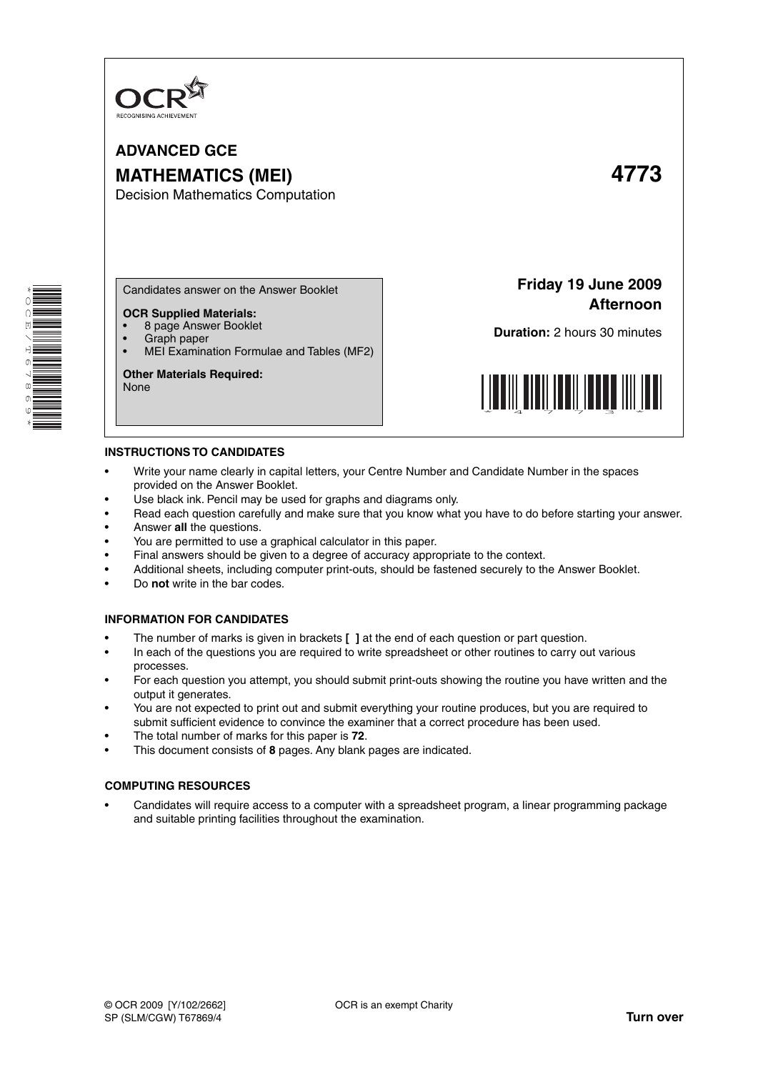

**ADVANCED GCE MATHEMATICS (MEI) 4773** Decision Mathematics Computation



Candidates answer on the Answer Booklet

- **OCR Supplied Materials:**
- 8 page Answer Booklet
- Graph paper
- MEI Examination Formulae and Tables (MF2)

**Other Materials Required:** None

**Friday 19 June 2009 Afternoon**

**Duration:** 2 hours 30 minutes



### **INSTRUCTIONS TO CANDIDATES**

- Write your name clearly in capital letters, your Centre Number and Candidate Number in the spaces provided on the Answer Booklet.
- Use black ink. Pencil may be used for graphs and diagrams only.
- Read each question carefully and make sure that you know what you have to do before starting your answer.
- Answer **all** the questions.
- You are permitted to use a graphical calculator in this paper.
- Final answers should be given to a degree of accuracy appropriate to the context.
- Additional sheets, including computer print-outs, should be fastened securely to the Answer Booklet.
- Do **not** write in the bar codes.

### **INFORMATION FOR CANDIDATES**

- The number of marks is given in brackets **[ ]** at the end of each question or part question.
- In each of the questions you are required to write spreadsheet or other routines to carry out various processes.
- For each question you attempt, you should submit print-outs showing the routine you have written and the output it generates.
- You are not expected to print out and submit everything your routine produces, but you are required to submit sufficient evidence to convince the examiner that a correct procedure has been used.
- The total number of marks for this paper is **72**.
- This document consists of **8** pages. Any blank pages are indicated.

#### **COMPUTING RESOURCES**

• Candidates will require access to a computer with a spreadsheet program, a linear programming package and suitable printing facilities throughout the examination.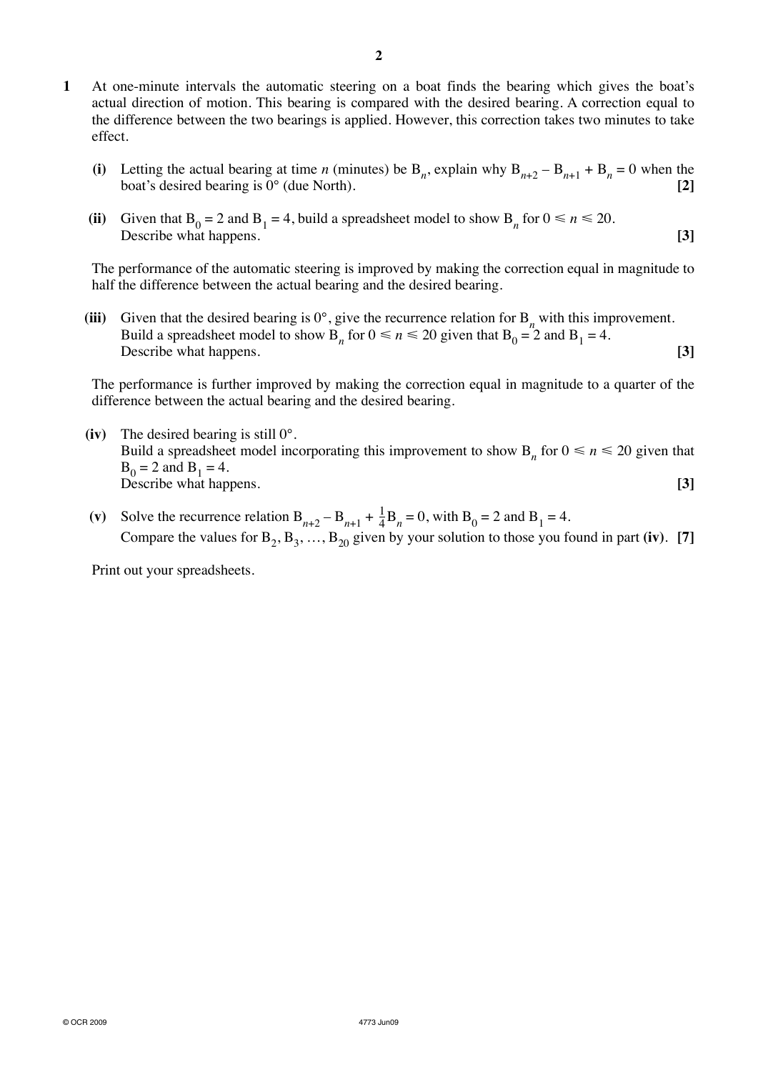- **1** At one-minute intervals the automatic steering on a boat finds the bearing which gives the boat's actual direction of motion. This bearing is compared with the desired bearing. A correction equal to the difference between the two bearings is applied. However, this correction takes two minutes to take effect.
	- **(i)** Letting the actual bearing at time *n* (minutes) be  $B_n$ , explain why  $B_{n+2} B_{n+1} + B_n = 0$  when the boat's desired bearing is 0° (due North). boat's desired bearing is 0° (due North). **[2]**
	- (ii) Given that  $B_0 = 2$  and  $B_1 = 4$ , build a spreadsheet model to show  $B_n$  for  $0 \le n \le 20$ . **Describe what happens. [3]** *<b>Describe what happens.*

The performance of the automatic steering is improved by making the correction equal in magnitude to half the difference between the actual bearing and the desired bearing.

(iii) Given that the desired bearing is  $0^\circ$ , give the recurrence relation for  $B_n$  with this improvement. Build a spreadsheet model to show B<sub>n</sub> for  $0 \le n \le 20$  given that B<sub>0</sub> = 2 and B<sub>1</sub> = 4. **Describe what happens. [3]** *<b>SPECIFICALLY CONDENSITY <b>EXECUTE:* 

 The performance is further improved by making the correction equal in magnitude to a quarter of the difference between the actual bearing and the desired bearing.

- $(iv)$  The desired bearing is still  $0^\circ$ . Build a spreadsheet model incorporating this improvement to show  $B<sub>n</sub>$  for  $0 \le n \le 20$  given that  $B_0 = 2$  and  $B_1 = 4$ . **Describe what happens.** [3]
- (v) Solve the recurrence relation  $B_{n+2} B_{n+1} + \frac{1}{4}B_n = 0$ , with  $B_0 = 2$  and  $B_1 = 4$ . Compare the values for  $B_2, B_3, \ldots, B_{20}$  given by your solution to those you found in part **(iv)**. [7]

Print out your spreadsheets.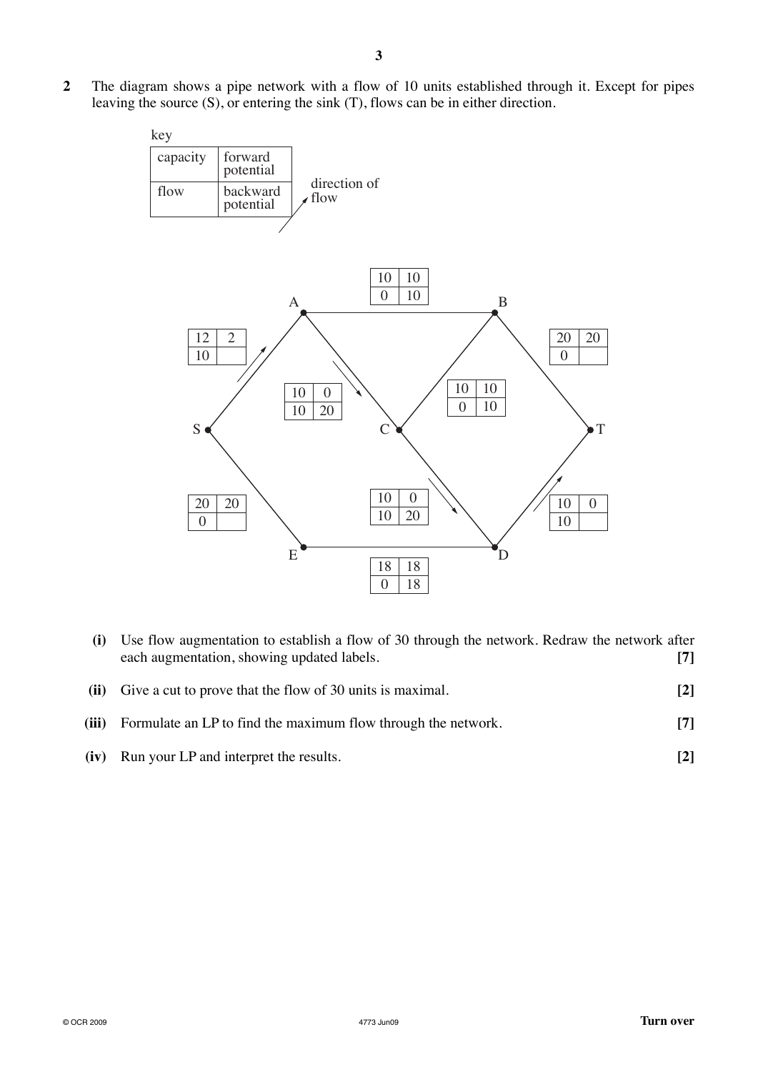**2** The diagram shows a pipe network with a flow of 10 units established through it. Except for pipes leaving the source (S), or entering the sink (T), flows can be in either direction.



- **(i)** Use flow augmentation to establish a flow of 30 through the network. Redraw the network after each augmentation, showing updated labels. **[7]** [7]
- **(ii)** Give a cut to prove that the flow of 30 units is maximal. **[2] (iii)** Formulate an LP to find the maximum flow through the network. **[7]**
- **(iv)** Run your LP and interpret the results. **[2]**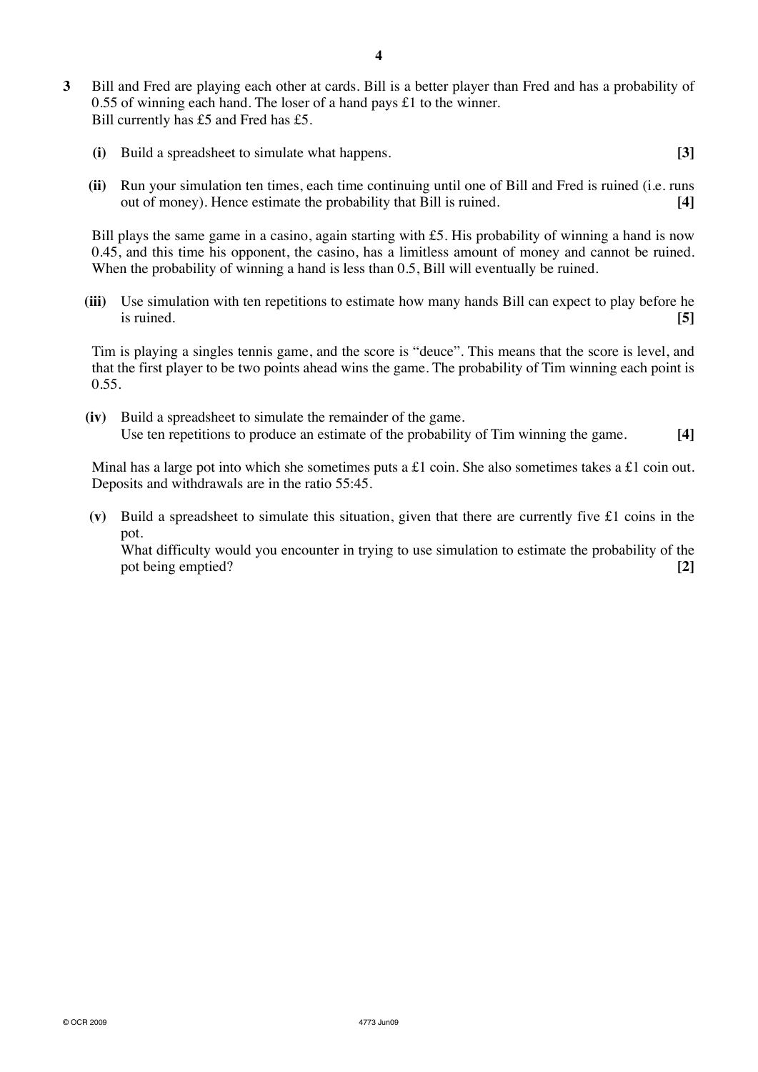- **3** Bill and Fred are playing each other at cards. Bill is a better player than Fred and has a probability of 0.55 of winning each hand. The loser of a hand pays £1 to the winner. Bill currently has £5 and Fred has £5.
	- **(i)** Build a spreadsheet to simulate what happens. **[3]**
	- **(ii)** Run your simulation ten times, each time continuing until one of Bill and Fred is ruined (i.e. runs out of money). Hence estimate the probability that Bill is ruined. **[4]**

Bill plays the same game in a casino, again starting with £5. His probability of winning a hand is now 0.45, and this time his opponent, the casino, has a limitless amount of money and cannot be ruined. When the probability of winning a hand is less than 0.5, Bill will eventually be ruined.

 **(iii)** Use simulation with ten repetitions to estimate how many hands Bill can expect to play before he is ruined. **[5]**

Tim is playing a singles tennis game, and the score is "deuce". This means that the score is level, and that the first player to be two points ahead wins the game. The probability of Tim winning each point is 0.55.

 **(iv)** Build a spreadsheet to simulate the remainder of the game. Use ten repetitions to produce an estimate of the probability of Tim winning the game. [4]

Minal has a large pot into which she sometimes puts a £1 coin. She also sometimes takes a £1 coin out. Deposits and withdrawals are in the ratio 55:45.

 **(v)** Build a spreadsheet to simulate this situation, given that there are currently five £1 coins in the pot.

What difficulty would you encounter in trying to use simulation to estimate the probability of the pot being emptied? **[2]**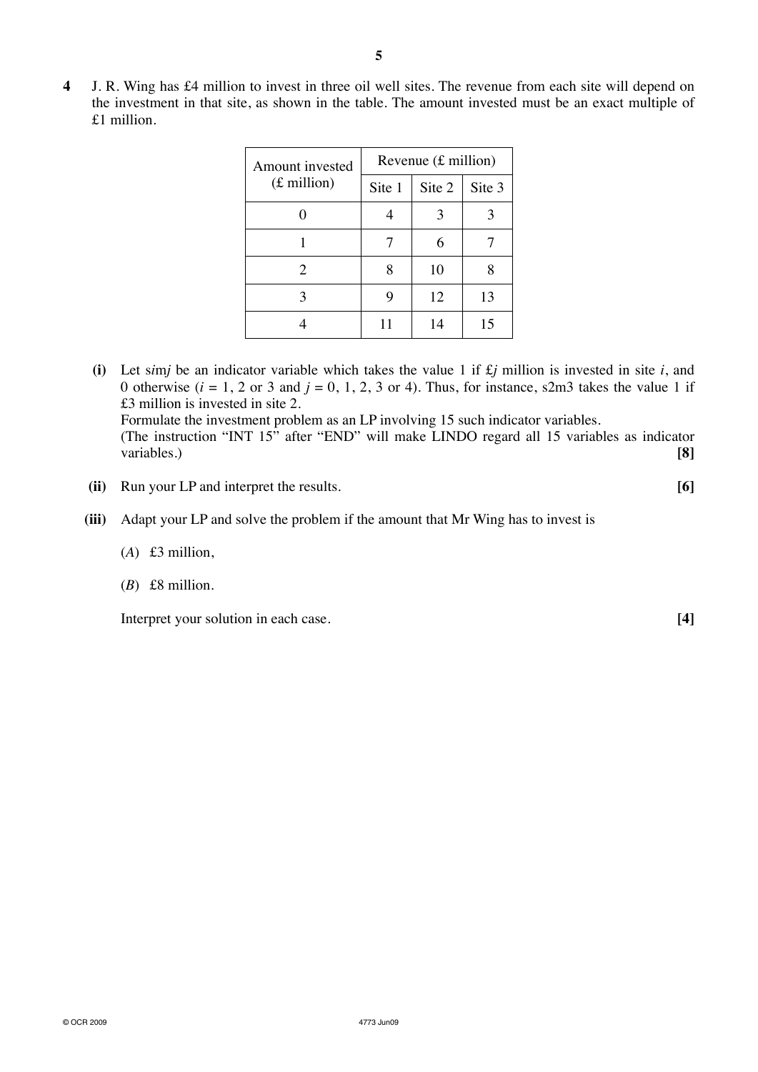**4** J. R. Wing has £4 million to invest in three oil well sites. The revenue from each site will depend on the investment in that site, as shown in the table. The amount invested must be an exact multiple of £1 million.

| Amount invested<br>$(f.$ million) | Revenue $(f$ million) |        |        |
|-----------------------------------|-----------------------|--------|--------|
|                                   | Site 1                | Site 2 | Site 3 |
|                                   |                       | 3      | 3      |
|                                   | 7                     | 6      |        |
| 2.                                | 8                     | 10     | 8      |
| 3                                 | 9                     | 12     | 13     |
|                                   |                       | 14     | 15     |

 **(i)** Let s*i*m*j* be an indicator variable which takes the value 1 if £*j* million is invested in site *i*, and 0 otherwise  $(i = 1, 2 \text{ or } 3 \text{ and } j = 0, 1, 2, 3 \text{ or } 4)$ . Thus, for instance, s2m3 takes the value 1 if £3 million is invested in site 2. Formulate the investment problem as an LP involving 15 such indicator variables. (The instruction "INT 15" after "END" will make LINDO regard all 15 variables as indicator variables.) **[8]**

- **(ii)** Run your LP and interpret the results. **[6]**
- **(iii)** Adapt your LP and solve the problem if the amount that Mr Wing has to invest is
	- (*A*) £3 million,
	- (*B*) £8 million.

**Interpret your solution in each case.** [4]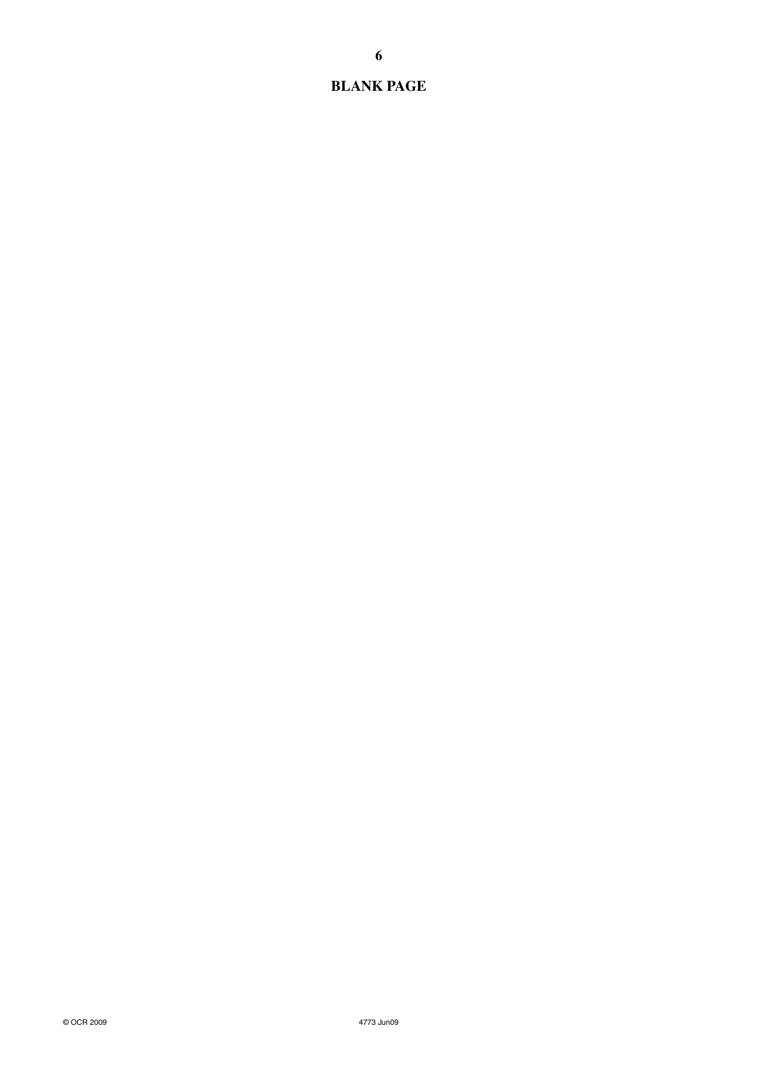# **BLANK PAGE**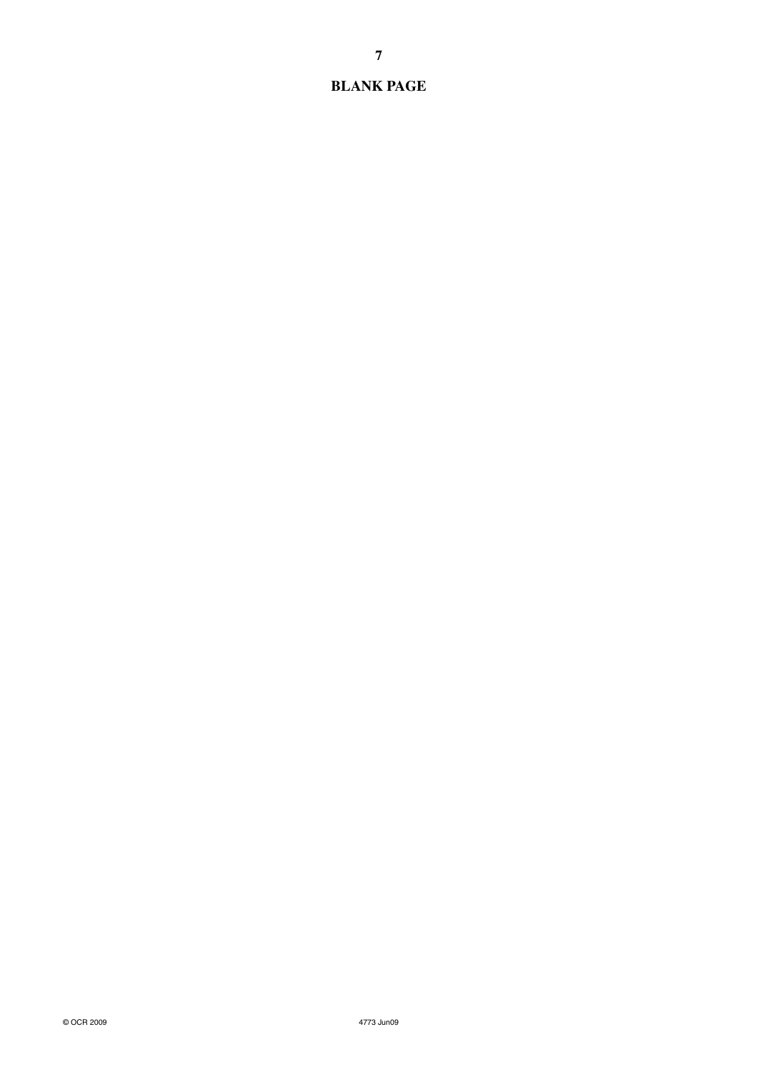# **BLANK PAGE**